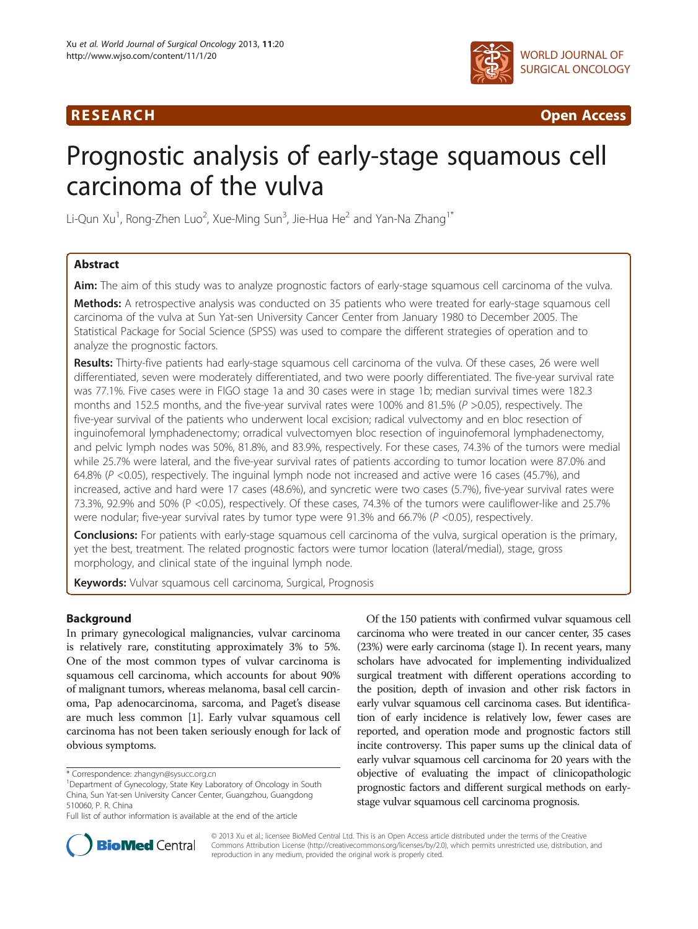

R E S EAR CH Open Access

# Prognostic analysis of early-stage squamous cell carcinoma of the vulva

Li-Qun Xu $^1$ , Rong-Zhen Luo $^2$ , Xue-Ming Sun $^3$ , Jie-Hua He $^2$  and Yan-Na Zhang $^1{}^*$ 

# Abstract

Aim: The aim of this study was to analyze prognostic factors of early-stage squamous cell carcinoma of the vulva. Methods: A retrospective analysis was conducted on 35 patients who were treated for early-stage squamous cell carcinoma of the vulva at Sun Yat-sen University Cancer Center from January 1980 to December 2005. The Statistical Package for Social Science (SPSS) was used to compare the different strategies of operation and to analyze the prognostic factors.

Results: Thirty-five patients had early-stage squamous cell carcinoma of the vulva. Of these cases, 26 were well differentiated, seven were moderately differentiated, and two were poorly differentiated. The five-year survival rate was 77.1%. Five cases were in FIGO stage 1a and 30 cases were in stage 1b; median survival times were 182.3 months and 152.5 months, and the five-year survival rates were 100% and 81.5% (P >0.05), respectively. The five-year survival of the patients who underwent local excision; radical vulvectomy and en bloc resection of inguinofemoral lymphadenectomy; orradical vulvectomyen bloc resection of inguinofemoral lymphadenectomy, and pelvic lymph nodes was 50%, 81.8%, and 83.9%, respectively. For these cases, 74.3% of the tumors were medial while 25.7% were lateral, and the five-year survival rates of patients according to tumor location were 87.0% and 64.8%  $(P < 0.05)$ , respectively. The inguinal lymph node not increased and active were 16 cases (45.7%), and increased, active and hard were 17 cases (48.6%), and syncretic were two cases (5.7%), five-year survival rates were 73.3%, 92.9% and 50% (P <0.05), respectively. Of these cases, 74.3% of the tumors were cauliflower-like and 25.7% were nodular; five-year survival rates by tumor type were 91.3% and 66.7% (P <0.05), respectively.

**Conclusions:** For patients with early-stage squamous cell carcinoma of the vulva, surgical operation is the primary, yet the best, treatment. The related prognostic factors were tumor location (lateral/medial), stage, gross morphology, and clinical state of the inguinal lymph node.

Keywords: Vulvar squamous cell carcinoma, Surgical, Prognosis

# Background

In primary gynecological malignancies, vulvar carcinoma is relatively rare, constituting approximately 3% to 5%. One of the most common types of vulvar carcinoma is squamous cell carcinoma, which accounts for about 90% of malignant tumors, whereas melanoma, basal cell carcinoma, Pap adenocarcinoma, sarcoma, and Paget's disease are much less common [\[1](#page-5-0)]. Early vulvar squamous cell carcinoma has not been taken seriously enough for lack of obvious symptoms.

Of the 150 patients with confirmed vulvar squamous cell carcinoma who were treated in our cancer center, 35 cases (23%) were early carcinoma (stage I). In recent years, many scholars have advocated for implementing individualized surgical treatment with different operations according to the position, depth of invasion and other risk factors in early vulvar squamous cell carcinoma cases. But identification of early incidence is relatively low, fewer cases are reported, and operation mode and prognostic factors still incite controversy. This paper sums up the clinical data of early vulvar squamous cell carcinoma for 20 years with the objective of evaluating the impact of clinicopathologic prognostic factors and different surgical methods on earlystage vulvar squamous cell carcinoma prognosis.



© 2013 Xu et al.; licensee BioMed Central Ltd. This is an Open Access article distributed under the terms of the Creative Commons Attribution License [\(http://creativecommons.org/licenses/by/2.0\)](http://creativecommons.org/licenses/by/2.0), which permits unrestricted use, distribution, and reproduction in any medium, provided the original work is properly cited.

<sup>\*</sup> Correspondence: [zhangyn@sysucc.org.cn](mailto:zhangyn@sysucc.org.cn) <sup>1</sup>

Department of Gynecology, State Key Laboratory of Oncology in South China, Sun Yat-sen University Cancer Center, Guangzhou, Guangdong 510060, P. R. China

Full list of author information is available at the end of the article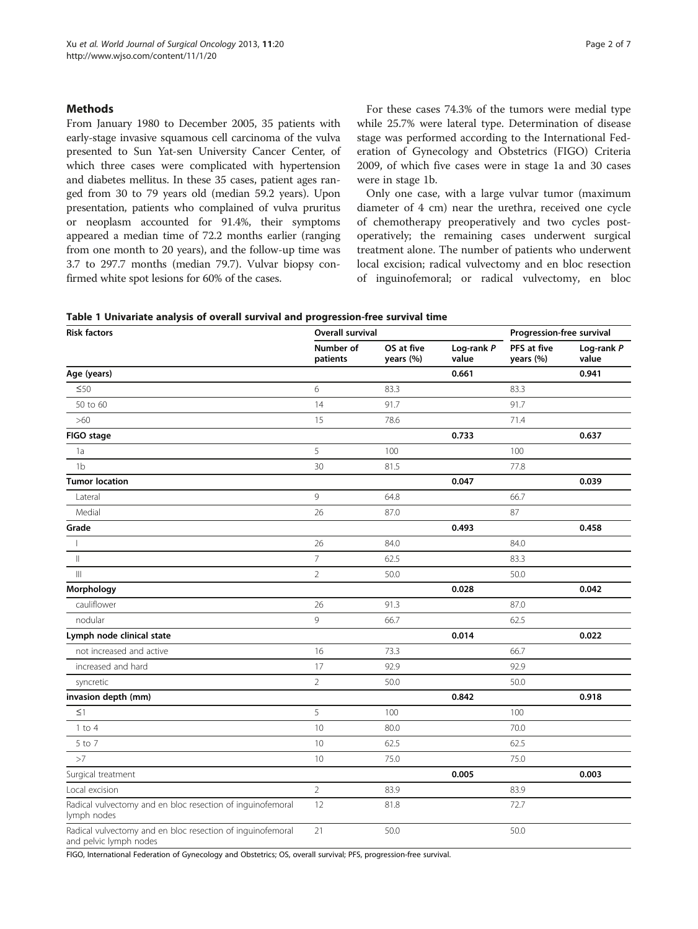# <span id="page-1-0"></span>**Methods**

From January 1980 to December 2005, 35 patients with early-stage invasive squamous cell carcinoma of the vulva presented to Sun Yat-sen University Cancer Center, of which three cases were complicated with hypertension and diabetes mellitus. In these 35 cases, patient ages ranged from 30 to 79 years old (median 59.2 years). Upon presentation, patients who complained of vulva pruritus or neoplasm accounted for 91.4%, their symptoms appeared a median time of 72.2 months earlier (ranging from one month to 20 years), and the follow-up time was 3.7 to 297.7 months (median 79.7). Vulvar biopsy confirmed white spot lesions for 60% of the cases.

For these cases 74.3% of the tumors were medial type while 25.7% were lateral type. Determination of disease stage was performed according to the International Federation of Gynecology and Obstetrics (FIGO) Criteria 2009, of which five cases were in stage 1a and 30 cases were in stage 1b.

Only one case, with a large vulvar tumor (maximum diameter of 4 cm) near the urethra, received one cycle of chemotherapy preoperatively and two cycles postoperatively; the remaining cases underwent surgical treatment alone. The number of patients who underwent local excision; radical vulvectomy and en bloc resection of inguinofemoral; or radical vulvectomy, en bloc

|  |  |  |  |  |  |  | Table 1 Univariate analysis of overall survival and progression-free survival time |
|--|--|--|--|--|--|--|------------------------------------------------------------------------------------|
|--|--|--|--|--|--|--|------------------------------------------------------------------------------------|

| <b>Risk factors</b>                                                                  | Overall survival      |                         |                     |                          |                     |
|--------------------------------------------------------------------------------------|-----------------------|-------------------------|---------------------|--------------------------|---------------------|
|                                                                                      | Number of<br>patients | OS at five<br>years (%) | Log-rank P<br>value | PFS at five<br>years (%) | Log-rank P<br>value |
| Age (years)                                                                          |                       |                         | 0.661               |                          | 0.941               |
| ≤50                                                                                  | 6                     | 83.3                    |                     | 83.3                     |                     |
| 50 to 60                                                                             | 14                    | 91.7                    |                     | 91.7                     |                     |
| >60                                                                                  | 15                    | 78.6                    |                     | 71.4                     |                     |
| FIGO stage                                                                           |                       |                         | 0.733               |                          | 0.637               |
| 1a                                                                                   | 5                     | 100                     |                     | 100                      |                     |
| 1 <sub>b</sub>                                                                       | 30                    | 81.5                    |                     | 77.8                     |                     |
| <b>Tumor location</b>                                                                |                       |                         | 0.047               |                          | 0.039               |
| Lateral                                                                              | 9                     | 64.8                    |                     | 66.7                     |                     |
| Medial                                                                               | 26                    | 87.0                    |                     | 87                       |                     |
| Grade                                                                                |                       |                         | 0.493               |                          | 0.458               |
| $\overline{1}$                                                                       | 26                    | 84.0                    |                     | 84.0                     |                     |
| $\mathbf{  }$                                                                        | $\overline{7}$        | 62.5                    |                     | 83.3                     |                     |
| $\mathbb{H}$                                                                         | $\overline{2}$        | 50.0                    |                     | 50.0                     |                     |
| Morphology                                                                           |                       |                         | 0.028               |                          | 0.042               |
| cauliflower                                                                          | 26                    | 91.3                    |                     | 87.0                     |                     |
| nodular                                                                              | 9                     | 66.7                    |                     | 62.5                     |                     |
| Lymph node clinical state                                                            |                       |                         | 0.014               |                          | 0.022               |
| not increased and active                                                             | 16                    | 73.3                    |                     | 66.7                     |                     |
| increased and hard                                                                   | 17                    | 92.9                    |                     | 92.9                     |                     |
| syncretic                                                                            | $\overline{2}$        | 50.0                    |                     | 50.0                     |                     |
| invasion depth (mm)                                                                  |                       |                         | 0.842               |                          | 0.918               |
| $\leq$ 1                                                                             | 5                     | 100                     |                     | 100                      |                     |
| $1$ to $4$                                                                           | 10                    | 80.0                    |                     | 70.0                     |                     |
| 5 to 7                                                                               | 10                    | 62.5                    |                     | 62.5                     |                     |
| >7                                                                                   | 10                    | 75.0                    |                     | 75.0                     |                     |
| Surgical treatment                                                                   |                       |                         | 0.005               |                          | 0.003               |
| Local excision                                                                       | $\overline{2}$        | 83.9                    |                     | 83.9                     |                     |
| Radical vulvectomy and en bloc resection of inguinofemoral<br>lymph nodes            | 12                    | 81.8                    |                     | 72.7                     |                     |
| Radical vulvectomy and en bloc resection of inguinofemoral<br>and pelvic lymph nodes | 21                    | 50.0                    |                     | 50.0                     |                     |

FIGO, International Federation of Gynecology and Obstetrics; OS, overall survival; PFS, progression-free survival.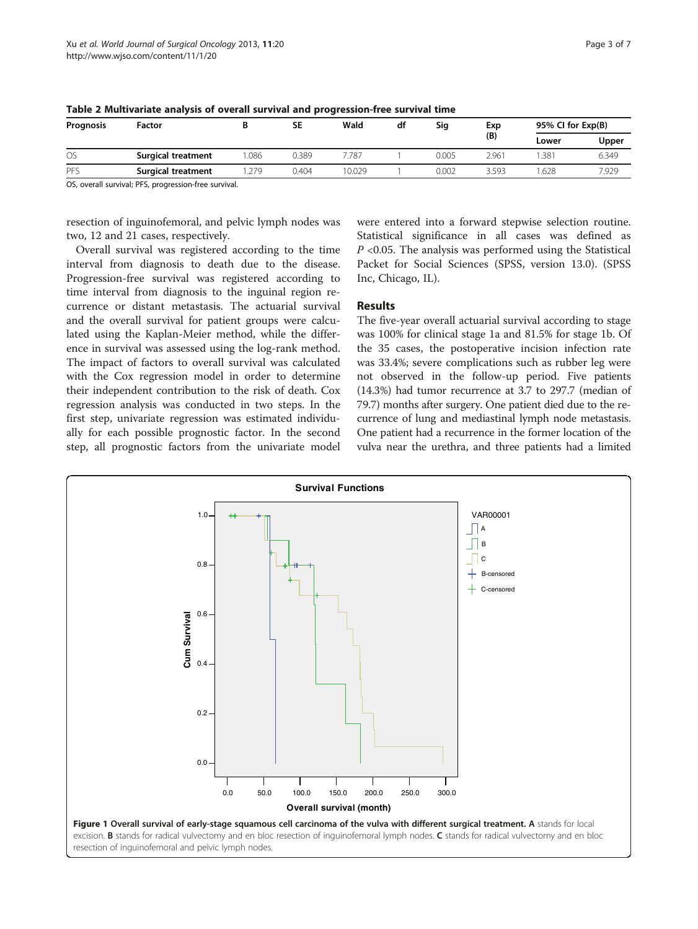| Prognosis | Factor             |      | SE    | Wald   | df | Sig   | Exp<br>(B) | 95% CI for Exp(B) |       |
|-----------|--------------------|------|-------|--------|----|-------|------------|-------------------|-------|
|           |                    |      |       |        |    |       |            | Lower             | Upper |
| <b>OS</b> | Surgical treatment | .086 | 0.389 | 7.787  |    | 0.005 | 2.961      | .381              | 6.349 |
| PFS       | Surgical treatment | 279  | 0.404 | 10.029 |    | 0.002 | 3.593      | .628              | 7.929 |

<span id="page-2-0"></span>Table 2 Multivariate analysis of overall survival and progression-free survival time

OS, overall survival; PFS, progression-free survival.

resection of inguinofemoral, and pelvic lymph nodes was two, 12 and 21 cases, respectively.

Overall survival was registered according to the time interval from diagnosis to death due to the disease. Progression-free survival was registered according to time interval from diagnosis to the inguinal region recurrence or distant metastasis. The actuarial survival and the overall survival for patient groups were calculated using the Kaplan-Meier method, while the difference in survival was assessed using the log-rank method. The impact of factors to overall survival was calculated with the Cox regression model in order to determine their independent contribution to the risk of death. Cox regression analysis was conducted in two steps. In the first step, univariate regression was estimated individually for each possible prognostic factor. In the second step, all prognostic factors from the univariate model

were entered into a forward stepwise selection routine. Statistical significance in all cases was defined as  $P \le 0.05$ . The analysis was performed using the Statistical Packet for Social Sciences (SPSS, version 13.0). (SPSS Inc, Chicago, IL).

# **Results**

The five-year overall actuarial survival according to stage was 100% for clinical stage 1a and 81.5% for stage 1b. Of the 35 cases, the postoperative incision infection rate was 33.4%; severe complications such as rubber leg were not observed in the follow-up period. Five patients (14.3%) had tumor recurrence at 3.7 to 297.7 (median of 79.7) months after surgery. One patient died due to the recurrence of lung and mediastinal lymph node metastasis. One patient had a recurrence in the former location of the vulva near the urethra, and three patients had a limited

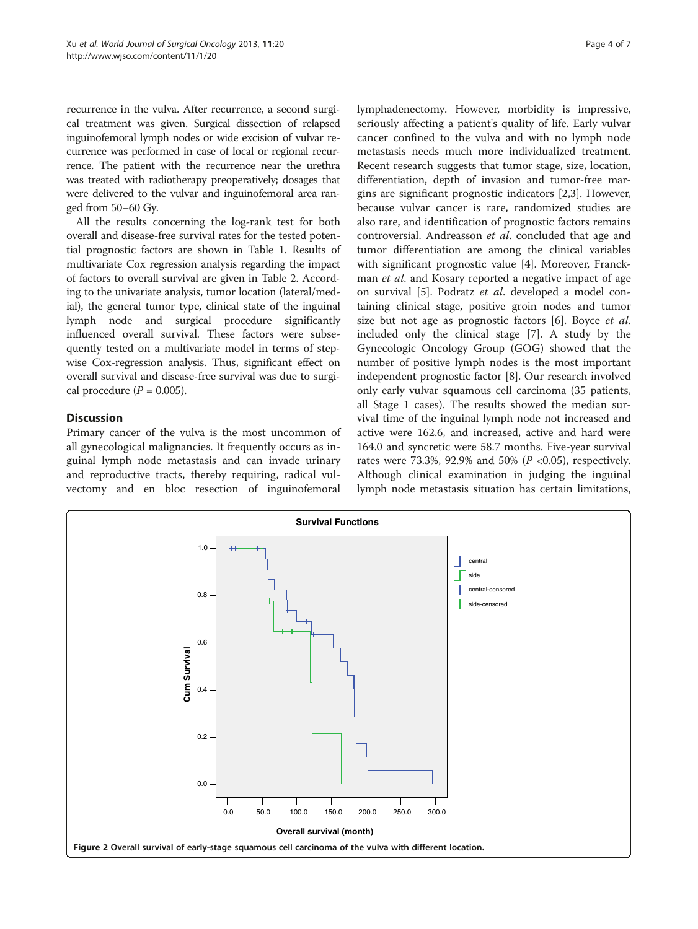<span id="page-3-0"></span>recurrence in the vulva. After recurrence, a second surgical treatment was given. Surgical dissection of relapsed inguinofemoral lymph nodes or wide excision of vulvar recurrence was performed in case of local or regional recurrence. The patient with the recurrence near the urethra was treated with radiotherapy preoperatively; dosages that were delivered to the vulvar and inguinofemoral area ranged from 50–60 Gy.

All the results concerning the log-rank test for both overall and disease-free survival rates for the tested potential prognostic factors are shown in Table [1.](#page-1-0) Results of multivariate Cox regression analysis regarding the impact of factors to overall survival are given in Table [2.](#page-2-0) According to the univariate analysis, tumor location (lateral/medial), the general tumor type, clinical state of the inguinal lymph node and surgical procedure significantly influenced overall survival. These factors were subsequently tested on a multivariate model in terms of stepwise Cox-regression analysis. Thus, significant effect on overall survival and disease-free survival was due to surgical procedure  $(P = 0.005)$ .

# **Discussion**

Primary cancer of the vulva is the most uncommon of all gynecological malignancies. It frequently occurs as inguinal lymph node metastasis and can invade urinary and reproductive tracts, thereby requiring, radical vulvectomy and en bloc resection of inguinofemoral lymphadenectomy. However, morbidity is impressive, seriously affecting a patient's quality of life. Early vulvar cancer confined to the vulva and with no lymph node metastasis needs much more individualized treatment. Recent research suggests that tumor stage, size, location, differentiation, depth of invasion and tumor-free margins are significant prognostic indicators [[2,3\]](#page-5-0). However, because vulvar cancer is rare, randomized studies are also rare, and identification of prognostic factors remains controversial. Andreasson et al. concluded that age and tumor differentiation are among the clinical variables with significant prognostic value [[4\]](#page-5-0). Moreover, Franckman *et al.* and Kosary reported a negative impact of age on survival [[5\]](#page-5-0). Podratz et al. developed a model containing clinical stage, positive groin nodes and tumor size but not age as prognostic factors [\[6](#page-5-0)]. Boyce *et al.* included only the clinical stage [[7\]](#page-6-0). A study by the Gynecologic Oncology Group (GOG) showed that the number of positive lymph nodes is the most important independent prognostic factor [\[8](#page-6-0)]. Our research involved only early vulvar squamous cell carcinoma (35 patients, all Stage 1 cases). The results showed the median survival time of the inguinal lymph node not increased and active were 162.6, and increased, active and hard were 164.0 and syncretic were 58.7 months. Five-year survival rates were 73.3%, 92.9% and 50% ( $P < 0.05$ ), respectively. Although clinical examination in judging the inguinal lymph node metastasis situation has certain limitations,

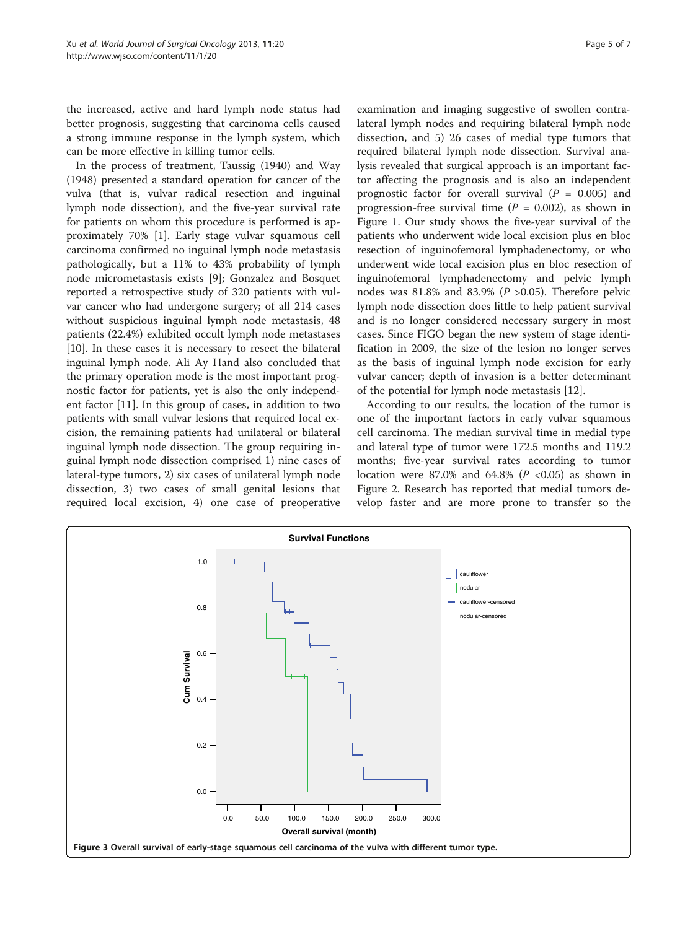<span id="page-4-0"></span>the increased, active and hard lymph node status had better prognosis, suggesting that carcinoma cells caused a strong immune response in the lymph system, which can be more effective in killing tumor cells.

In the process of treatment, Taussig (1940) and Way (1948) presented a standard operation for cancer of the vulva (that is, vulvar radical resection and inguinal lymph node dissection), and the five-year survival rate for patients on whom this procedure is performed is approximately 70% [[1\]](#page-5-0). Early stage vulvar squamous cell carcinoma confirmed no inguinal lymph node metastasis pathologically, but a 11% to 43% probability of lymph node micrometastasis exists [\[9](#page-6-0)]; Gonzalez and Bosquet reported a retrospective study of 320 patients with vulvar cancer who had undergone surgery; of all 214 cases without suspicious inguinal lymph node metastasis, 48 patients (22.4%) exhibited occult lymph node metastases [[10\]](#page-6-0). In these cases it is necessary to resect the bilateral inguinal lymph node. Ali Ay Hand also concluded that the primary operation mode is the most important prognostic factor for patients, yet is also the only independent factor [[11\]](#page-6-0). In this group of cases, in addition to two patients with small vulvar lesions that required local excision, the remaining patients had unilateral or bilateral inguinal lymph node dissection. The group requiring inguinal lymph node dissection comprised 1) nine cases of lateral-type tumors, 2) six cases of unilateral lymph node dissection, 3) two cases of small genital lesions that required local excision, 4) one case of preoperative

examination and imaging suggestive of swollen contralateral lymph nodes and requiring bilateral lymph node dissection, and 5) 26 cases of medial type tumors that required bilateral lymph node dissection. Survival analysis revealed that surgical approach is an important factor affecting the prognosis and is also an independent prognostic factor for overall survival ( $P = 0.005$ ) and progression-free survival time ( $P = 0.002$ ), as shown in Figure [1.](#page-2-0) Our study shows the five-year survival of the patients who underwent wide local excision plus en bloc resection of inguinofemoral lymphadenectomy, or who underwent wide local excision plus en bloc resection of inguinofemoral lymphadenectomy and pelvic lymph nodes was 81.8% and 83.9% ( $P > 0.05$ ). Therefore pelvic lymph node dissection does little to help patient survival and is no longer considered necessary surgery in most cases. Since FIGO began the new system of stage identification in 2009, the size of the lesion no longer serves as the basis of inguinal lymph node excision for early vulvar cancer; depth of invasion is a better determinant of the potential for lymph node metastasis [[12](#page-6-0)].

According to our results, the location of the tumor is one of the important factors in early vulvar squamous cell carcinoma. The median survival time in medial type and lateral type of tumor were 172.5 months and 119.2 months; five-year survival rates according to tumor location were 87.0% and 64.8% ( $P < 0.05$ ) as shown in Figure [2](#page-3-0). Research has reported that medial tumors develop faster and are more prone to transfer so the

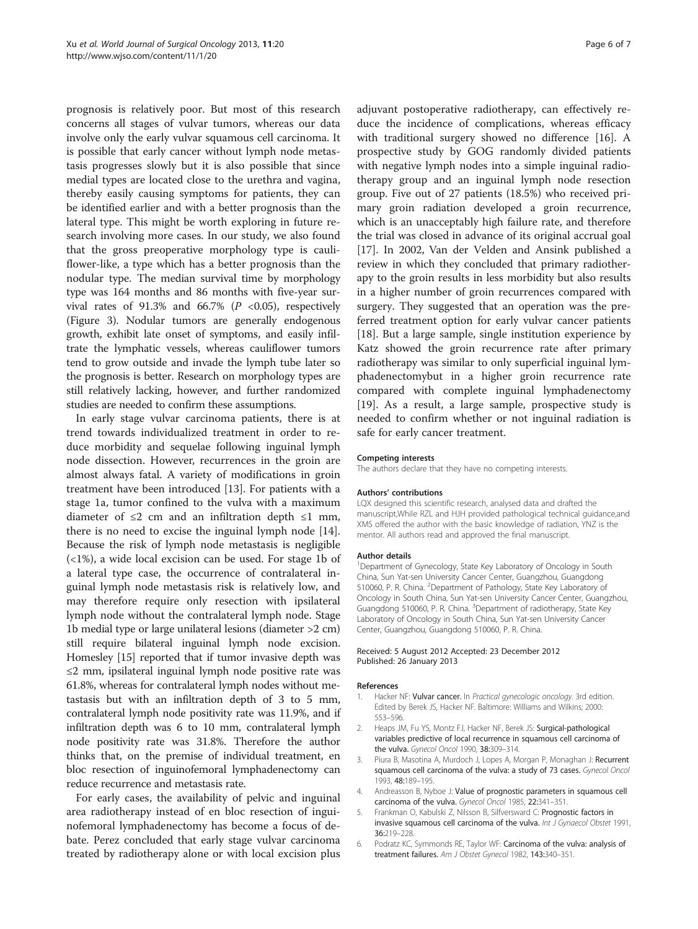<span id="page-5-0"></span>prognosis is relatively poor. But most of this research concerns all stages of vulvar tumors, whereas our data involve only the early vulvar squamous cell carcinoma. It is possible that early cancer without lymph node metastasis progresses slowly but it is also possible that since medial types are located close to the urethra and vagina, thereby easily causing symptoms for patients, they can be identified earlier and with a better prognosis than the lateral type. This might be worth exploring in future research involving more cases. In our study, we also found that the gross preoperative morphology type is cauliflower-like, a type which has a better prognosis than the nodular type. The median survival time by morphology type was 164 months and 86 months with five-year survival rates of 91.3% and 66.7% ( $P < 0.05$ ), respectively (Figure [3](#page-4-0)). Nodular tumors are generally endogenous growth, exhibit late onset of symptoms, and easily infiltrate the lymphatic vessels, whereas cauliflower tumors tend to grow outside and invade the lymph tube later so the prognosis is better. Research on morphology types are still relatively lacking, however, and further randomized studies are needed to confirm these assumptions.

In early stage vulvar carcinoma patients, there is at trend towards individualized treatment in order to reduce morbidity and sequelae following inguinal lymph node dissection. However, recurrences in the groin are almost always fatal. A variety of modifications in groin treatment have been introduced [[13](#page-6-0)]. For patients with a stage 1a, tumor confined to the vulva with a maximum diameter of  $\leq 2$  cm and an infiltration depth  $\leq 1$  mm, there is no need to excise the inguinal lymph node [\[14](#page-6-0)]. Because the risk of lymph node metastasis is negligible (<1%), a wide local excision can be used. For stage 1b of a lateral type case, the occurrence of contralateral inguinal lymph node metastasis risk is relatively low, and may therefore require only resection with ipsilateral lymph node without the contralateral lymph node. Stage 1b medial type or large unilateral lesions (diameter >2 cm) still require bilateral inguinal lymph node excision. Homesley [\[15\]](#page-6-0) reported that if tumor invasive depth was ≤2 mm, ipsilateral inguinal lymph node positive rate was 61.8%, whereas for contralateral lymph nodes without metastasis but with an infiltration depth of 3 to 5 mm, contralateral lymph node positivity rate was 11.9%, and if infiltration depth was 6 to 10 mm, contralateral lymph node positivity rate was 31.8%. Therefore the author thinks that, on the premise of individual treatment, en bloc resection of inguinofemoral lymphadenectomy can reduce recurrence and metastasis rate.

For early cases, the availability of pelvic and inguinal area radiotherapy instead of en bloc resection of inguinofemoral lymphadenectomy has become a focus of debate. Perez concluded that early stage vulvar carcinoma treated by radiotherapy alone or with local excision plus

adjuvant postoperative radiotherapy, can effectively reduce the incidence of complications, whereas efficacy with traditional surgery showed no difference [\[16\]](#page-6-0). A prospective study by GOG randomly divided patients with negative lymph nodes into a simple inguinal radiotherapy group and an inguinal lymph node resection group. Five out of 27 patients (18.5%) who received primary groin radiation developed a groin recurrence, which is an unacceptably high failure rate, and therefore the trial was closed in advance of its original accrual goal [[17\]](#page-6-0). In 2002, Van der Velden and Ansink published a review in which they concluded that primary radiotherapy to the groin results in less morbidity but also results in a higher number of groin recurrences compared with surgery. They suggested that an operation was the preferred treatment option for early vulvar cancer patients [[18\]](#page-6-0). But a large sample, single institution experience by Katz showed the groin recurrence rate after primary radiotherapy was similar to only superficial inguinal lymphadenectomybut in a higher groin recurrence rate compared with complete inguinal lymphadenectomy [[19\]](#page-6-0). As a result, a large sample, prospective study is needed to confirm whether or not inguinal radiation is safe for early cancer treatment.

#### Competing interests

The authors declare that they have no competing interests.

### Authors' contributions

LQX designed this scientific research, analysed data and drafted the manuscript,While RZL and HJH provided pathological technical guidance,and XMS offered the author with the basic knowledge of radiation, YNZ is the mentor. All authors read and approved the final manuscript.

#### Author details

<sup>1</sup>Department of Gynecology, State Key Laboratory of Oncology in South China, Sun Yat-sen University Cancer Center, Guangzhou, Guangdong 510060, P. R. China. <sup>2</sup>Department of Pathology, State Key Laboratory of Oncology in South China, Sun Yat-sen University Cancer Center, Guangzhou, Guangdong 510060, P. R. China. <sup>3</sup>Department of radiotherapy, State Key Laboratory of Oncology in South China, Sun Yat-sen University Cancer Center, Guangzhou, Guangdong 510060, P. R. China.

#### Received: 5 August 2012 Accepted: 23 December 2012 Published: 26 January 2013

#### References

- 1. Hacker NF: Vulvar cancer. In Practical gynecologic oncology. 3rd edition. Edited by Berek JS, Hacker NF. Baltimore: Williams and Wilkins; 2000: 553–596.
- 2. Heaps JM, Fu YS, Montz FJ, Hacker NF, Berek JS: Surgical-pathological variables predictive of local recurrence in squamous cell carcinoma of the vulva. Gynecol Oncol 1990, 38:309-314.
- 3. Piura B, Masotina A, Murdoch J, Lopes A, Morgan P, Monaghan J: Recurrent squamous cell carcinoma of the vulva: a study of 73 cases. Gynecol Oncol 1993, 48:189–195.
- 4. Andreasson B, Nyboe J: Value of prognostic parameters in squamous cell carcinoma of the vulva. Gynecol Oncol 1985, 22:341–351.
- 5. Frankman O, Kabulski Z, Nilsson B, Silfversward C: Prognostic factors in invasive squamous cell carcinoma of the vulva. Int J Gynaecol Obstet 1991, 36:219–228.
- 6. Podratz KC, Symmonds RE, Taylor WF: Carcinoma of the vulva: analysis of treatment failures. Am J Obstet Gynecol 1982, 143:340–351.